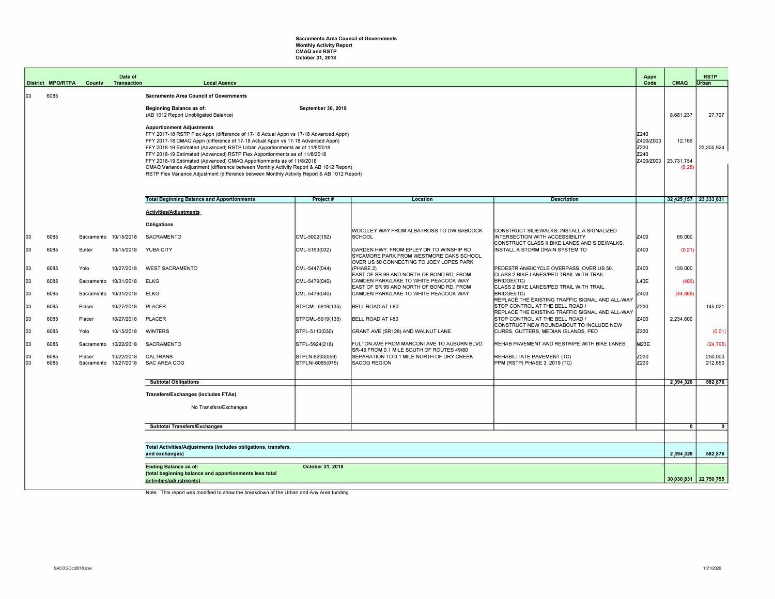## Sacramento Area Council of Governments<br>Monthly Activity Report<br>CMAQ and RSTP<br>October 31, 2018

|           | <b>District MPO/RTPA</b>                                                         | County                          | Date of<br>Transaction | <b>Local Agency</b>                                                                                                                                                                                                                                                                                                                                                                                                                                                                                                                                                                                                                                                        |                                     |                                                                                                   |                                                                                     | Appn<br>Code | CMAQ                                     | <b>RSTP</b><br>Urban  |
|-----------|----------------------------------------------------------------------------------|---------------------------------|------------------------|----------------------------------------------------------------------------------------------------------------------------------------------------------------------------------------------------------------------------------------------------------------------------------------------------------------------------------------------------------------------------------------------------------------------------------------------------------------------------------------------------------------------------------------------------------------------------------------------------------------------------------------------------------------------------|-------------------------------------|---------------------------------------------------------------------------------------------------|-------------------------------------------------------------------------------------|--------------|------------------------------------------|-----------------------|
| 103       | 6085                                                                             |                                 |                        | <b>Sacramento Area Council of Governments</b>                                                                                                                                                                                                                                                                                                                                                                                                                                                                                                                                                                                                                              |                                     |                                                                                                   |                                                                                     |              |                                          |                       |
|           |                                                                                  |                                 |                        | Beginning Balance as of:<br>(AB 1012 Report Unobligated Balance)                                                                                                                                                                                                                                                                                                                                                                                                                                                                                                                                                                                                           | September 30, 2018                  |                                                                                                   |                                                                                     |              | 8.681.237                                | 27.707                |
|           |                                                                                  |                                 |                        | <b>Apportionment Adjustments</b><br>FFY 2017-18 RSTP Flex Appn (difference of 17-18 Actual Appn vs 17-18 Advanced Appn)<br>Z240<br>FFY 2017-18 CMAQ Appn (difference of 17-18 Actual Appn vs 17-18 Advanced Appn)<br>Z400/Z003<br>Z230<br>FFY 2018-19 Estimated (Advanced) RSTP Urban Apportionments as of 11/8/2018<br>Z240<br>FFY 2018-19 Estimated (Advanced) RSTP Flex Apportionments as of 11/8/2018<br>FFY 2018-19 Estimated (Advanced) CMAQ Apportionments as of 11/8/2018<br>CMAQ Variance Adjustment (difference between Monthly Activity Report & AB 1012 Report)<br>RSTP Flex Variance Adjustment (difference between Monthly Activity Report & AB 1012 Report) |                                     |                                                                                                   |                                                                                     |              | 12,166<br>Z400/Z003 23,731,754<br>(0.28) | 23,305,924            |
|           |                                                                                  |                                 |                        |                                                                                                                                                                                                                                                                                                                                                                                                                                                                                                                                                                                                                                                                            |                                     |                                                                                                   |                                                                                     |              |                                          |                       |
|           |                                                                                  |                                 |                        | <b>Total Beginning Balance and Apportionments</b>                                                                                                                                                                                                                                                                                                                                                                                                                                                                                                                                                                                                                          | Project #                           | Location                                                                                          | <b>Description</b>                                                                  |              |                                          | 32,425,157 23,333,631 |
|           |                                                                                  |                                 |                        | Activities/Adjustments                                                                                                                                                                                                                                                                                                                                                                                                                                                                                                                                                                                                                                                     |                                     |                                                                                                   |                                                                                     |              |                                          |                       |
|           |                                                                                  |                                 |                        | Obligations                                                                                                                                                                                                                                                                                                                                                                                                                                                                                                                                                                                                                                                                |                                     | WOOLLEY WAY FROM ALBATROSS TO DW BABCOCK                                                          | CONSTRUCT SIDEWALKS, INSTALL A SIGNALIZED                                           |              |                                          |                       |
| 03        | 6085                                                                             | Sacramento 10/15/2018           |                        | SACRAMENTO                                                                                                                                                                                                                                                                                                                                                                                                                                                                                                                                                                                                                                                                 | CML-5002(192)                       | SCHOOL                                                                                            | INTERSECTION WITH ACCESSIBILITY<br>CONSTRUCT CLASS II BIKE LANES AND SIDEWALKS.     | Z400         | 66,000                                   |                       |
| 103       | 6085                                                                             | Sutter                          | 10/15/2018             | YUBA CITY                                                                                                                                                                                                                                                                                                                                                                                                                                                                                                                                                                                                                                                                  | CML-5163(032)                       | <b>GARDEN HWY. FROM EPLEY DR TO WINSHIP RD</b><br>SYCAMORE PARK FROM WESTMORE OAKS SCHOOL         | INSTALL A STORM DRAIN SYSTEM TO                                                     | Z400         | (0.21)                                   |                       |
| 103       | 6085                                                                             | Yolo                            | 10/27/2018             | <b>WEST SACRAMENTO</b>                                                                                                                                                                                                                                                                                                                                                                                                                                                                                                                                                                                                                                                     | CML-5447(044)                       | OVER US 50 CONNECTING TO JOEY LOPES PARK<br>(PHASE 2)<br>EAST OF SR 99 AND NORTH OF BOND RD, FROM | PEDESTRIAN/BICYCLE OVERPASS: OVER US 50.<br>CLASS 2 BIKE LANES/PED TRAIL WITH TRAIL | Z400         | 139,000                                  |                       |
| 103       | 6085                                                                             | Sacramento 10/31/2018           |                        | <b>ELKG</b>                                                                                                                                                                                                                                                                                                                                                                                                                                                                                                                                                                                                                                                                | CML-5479(040)                       | CAMDEN PARK/LAKE TO WHITE PEACOCK WAY<br>EAST OF SR 99 AND NORTH OF BOND RD, FROM                 | BRIDGE/(TC)<br>CLASS 2 BIKE LANES/PED TRAIL WITH TRAIL                              | L40E         | (406)                                    |                       |
| 03        | 6085                                                                             | Sacramento 10/31/2018           |                        | <b>ELKG</b>                                                                                                                                                                                                                                                                                                                                                                                                                                                                                                                                                                                                                                                                | CML-5479(040)                       | CAMDEN PARK/LAKE TO WHITE PEACOCK WAY                                                             | BRIDGE/(TC)<br>REPLACE THE EXISTING TRAFFIC SIGNAL AND ALL-WAY                      | Z400         | (44, 868)                                |                       |
| 103       | 6085                                                                             | Placer                          | 10/27/2018             | <b>PLACER</b>                                                                                                                                                                                                                                                                                                                                                                                                                                                                                                                                                                                                                                                              | STPCML-5919(135)                    | BELL ROAD AT I-80                                                                                 | STOP CONTROL AT THE BELL ROAD /<br>REPLACE THE EXISTING TRAFFIC SIGNAL AND ALL-WAY  | Z230         |                                          | 145,021               |
| 1оз       | 6085                                                                             | Placer                          | 10/27/2018             | PLACER                                                                                                                                                                                                                                                                                                                                                                                                                                                                                                                                                                                                                                                                     | STPCML-5919(135)                    | BELL ROAD AT I-80                                                                                 | STOP CONTROL AT THE BELL ROAD /<br>CONSTRUCT NEW ROUNDABOUT TO INCLUDE NEW          | Z400         | 2,234,600                                |                       |
| 03        | 6085                                                                             | Yolo                            | 10/15/2018             | <b>WINTERS</b>                                                                                                                                                                                                                                                                                                                                                                                                                                                                                                                                                                                                                                                             | STPL-5110(030)                      | GRANT AVE (SR128) AND WALNUT LANE                                                                 | CURBS, GUTTERS, MEDIAN ISLANDS, PED                                                 | Z230         |                                          | (0.01)                |
| 03        | 6085                                                                             | Sacramento                      | 10/22/2018             | SACRAMENTO                                                                                                                                                                                                                                                                                                                                                                                                                                                                                                                                                                                                                                                                 | STPL-5924(218)                      | FULTON AVE FROM MARCONI AVE TO AUBURN BLVD.<br>SR-49 FROM 0.1 MILE SOUTH OF ROUTES 49/80          | REHAB PAVEMENT AND RESTRIPE WITH BIKE LANES                                         | M23E         |                                          | (24, 795)             |
| 03<br>1оз | 6085<br>6085                                                                     | Placer<br>Sacramento 10/27/2018 | 10/22/2018             | CALTRANS<br><b>SAC AREA COG</b>                                                                                                                                                                                                                                                                                                                                                                                                                                                                                                                                                                                                                                            | STPLN-6203(059)<br>STPLNI-6085(075) | SEPARATION TO 0.1 MILE NORTH OF DRY CREEK<br><b>SACOG REGION</b>                                  | REHABILITATE PAVEMENT (TC)<br>PPM (RSTP) PHASE 3, 2019 (TC)                         | Z230<br>Z230 |                                          | 250,000<br>212.650    |
|           |                                                                                  |                                 |                        | <b>Subtotal Obligations</b>                                                                                                                                                                                                                                                                                                                                                                                                                                                                                                                                                                                                                                                |                                     |                                                                                                   |                                                                                     |              | 2,394,326                                | 582,876               |
|           |                                                                                  |                                 |                        | Transfers/Exchanges (includes FTAs)                                                                                                                                                                                                                                                                                                                                                                                                                                                                                                                                                                                                                                        |                                     |                                                                                                   |                                                                                     |              |                                          |                       |
|           |                                                                                  |                                 |                        | No Transfers/Exchanges                                                                                                                                                                                                                                                                                                                                                                                                                                                                                                                                                                                                                                                     |                                     |                                                                                                   |                                                                                     |              |                                          |                       |
|           |                                                                                  |                                 |                        |                                                                                                                                                                                                                                                                                                                                                                                                                                                                                                                                                                                                                                                                            |                                     |                                                                                                   |                                                                                     |              |                                          |                       |
|           |                                                                                  |                                 |                        | <b>Subtotal Transfers/Exchanges</b>                                                                                                                                                                                                                                                                                                                                                                                                                                                                                                                                                                                                                                        |                                     |                                                                                                   |                                                                                     |              | 0 <sup>1</sup>                           | $\mathbf{0}$          |
|           |                                                                                  |                                 |                        |                                                                                                                                                                                                                                                                                                                                                                                                                                                                                                                                                                                                                                                                            |                                     |                                                                                                   |                                                                                     |              |                                          |                       |
|           | Total Activities/Adjustments (includes obligations, transfers,<br>and exchanges) |                                 |                        |                                                                                                                                                                                                                                                                                                                                                                                                                                                                                                                                                                                                                                                                            |                                     |                                                                                                   |                                                                                     |              | 2,394,326                                | 582,876               |
|           |                                                                                  |                                 |                        | <b>Ending Balance as of:</b><br>(total beginning balance and apportionments less total                                                                                                                                                                                                                                                                                                                                                                                                                                                                                                                                                                                     | October 31, 2018                    |                                                                                                   |                                                                                     |              |                                          | 30,030,831 22,750,755 |
|           |                                                                                  |                                 |                        | activities/adiustments)                                                                                                                                                                                                                                                                                                                                                                                                                                                                                                                                                                                                                                                    |                                     |                                                                                                   |                                                                                     |              |                                          |                       |

**Note: This report was modified to show the breakdown of the Urban and Any Area funding.**